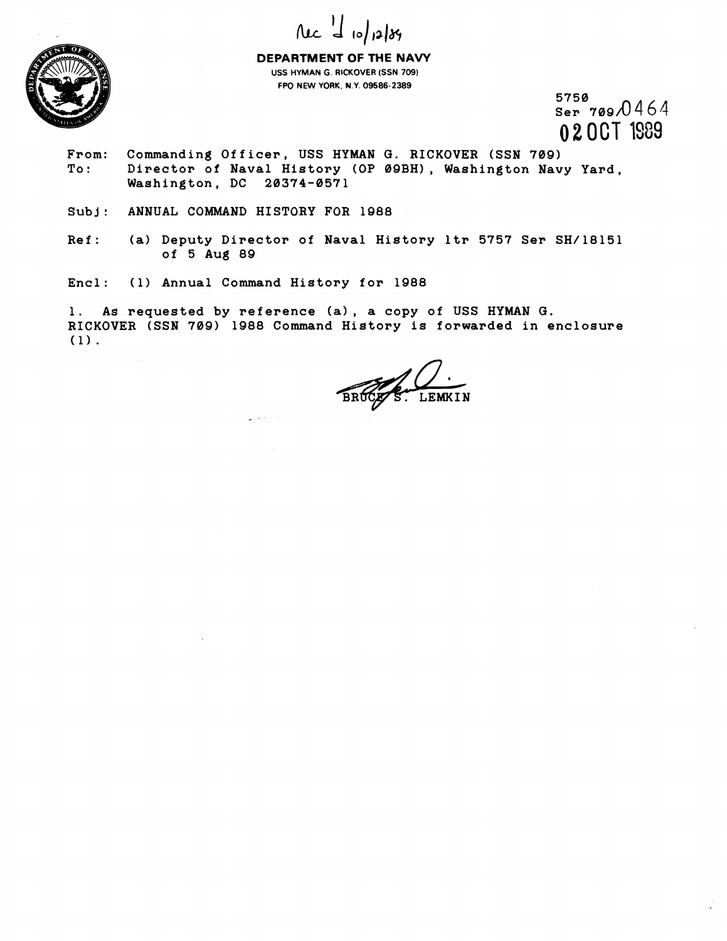



**DEPARTMENT OF THE NAVY USS HYMAN G. RICKOVER (SSN 709) FPO NEW YORK. N.Y. 09586-2389** 

 $5750$ <br>Ser 709/0464 020CT 1989

- **From: Commanding Officer, USS HYMAN G. RICKOVER (SSN 709)**  To: Director of Naval History (OP 09BH), Washington Navy Yard, **Washington, DC 20374-0571**
- **Subj: ANNUAL COMMAND HISTORY FOR lg88**
- **Ref: (a) Deputy Director of Naval History ltr 5757 Ser SH/18151 of 5 Aug 89**
- **Encl: (1) Annual Command History for 1988**

**1. As requested by reference (a), a copy of USS HYMAN G. RICKOVER (SSN 709) 1988 Command History is forwarded in enclosure (1).** 

LEMKIN BRUCK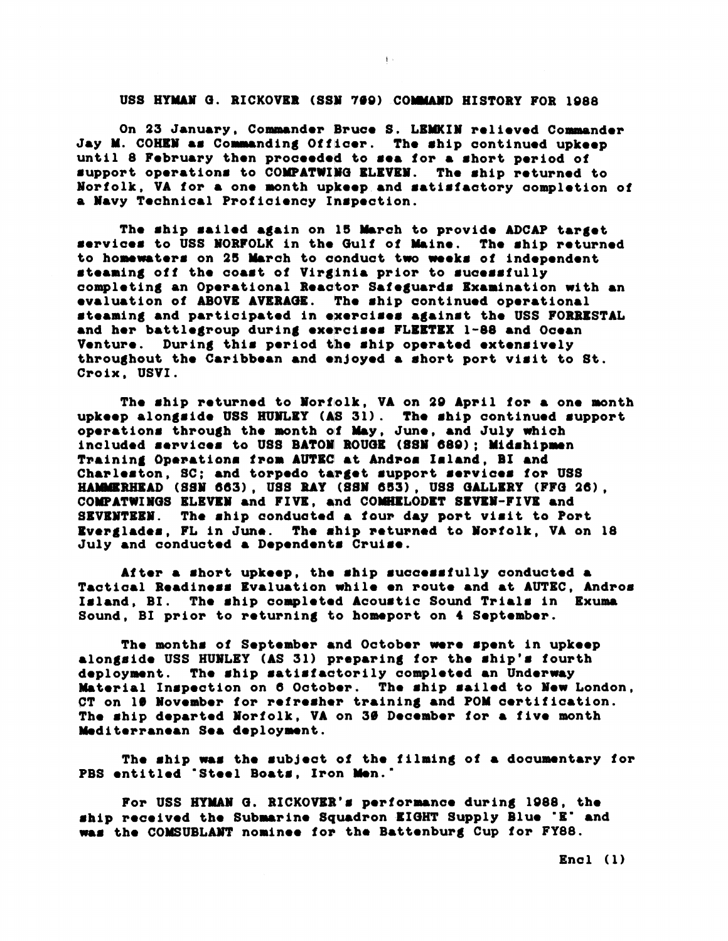## USS HYMAN G. RICKOVER (SSN 769) COMMAND HISTORY FOR 1988

 $\mathbf{1}$  .

On 23 January, Commander Bruce S. LEMKIN relieved Commander Jay M. COHEN as Commanding Officer. The ship continued upkeep until 8 February then proceeded to sea for a short period of support operations to COMPATWING ELEVEN. The ship returned to Norfolk, VA for a one month upkeep and satisfactory completion of a Navy Technical Proficiency Inspection.

The ship sailed again on 15 March to provide ADCAP target services to USS NORFOLK in the Gulf of Maine. The ship returned to homewaters on 25 March to conduct two weeks of independent steaming off the coast of Virginia prior to sucessfully completing an Operational Reactor Safeguards Examination with an evaluation of ABOVE AVERAGE. The ship continued operational steaming and participated in exercises against the USS FORRESTAL and her battlegroup during exercises FLEETEX 1-88 and Ocean Venture. During this period the ship operated extensively throughout the Caribbean and enjoyed a short port visit to St. Croix, USVI.

The ship returned to Norfolk, VA on 29 April for a one month upkeep alongside USS HUMLEY (AS 31). The ship continued support operations through the month of May, June, and July which included services to USS BATOM ROUGE (SSM 689); Midshipmen Training Operations from AUTEC at Andros Island, BI and Charleston, SC; and torpedo target support services for USS HAMMERHEAD (SSN 663), USS RAY (SSN 653), USS GALLERY (FFG 26), COMPATWINGS ELEVEN and FIVE, and COMHELODET SEVEN-FIVE and SEVENTEEN. The ship conducted a four day port visit to Port Everglades, FL in June. The ship returned to Norfolk, VA on 18 July and conducted a Dependents Cruise.

After a short upkeep, the ship successfully conducted a Tactical Readiness Evaluation while en route and at AUTEC, Andros Island, BI. The ship completed Acoustic Sound Trials in Exuma Sound, BI prior to returning to homeport on 4 September.

The months of September and October were spent in upkeep alongside USS HUNLEY (AS 31) preparing for the ship's fourth deployment. The ship satisfactorily completed an Underway Material Inspection on 6 October. The ship sailed to New London, CT on 10 November for refresher training and POM certification. The ship departed Norfolk, VA on 30 December for a five month Mediterranean Sea deployment.

The ship was the subject of the filming of a documentary for PBS entitled 'Steel Boats, Iron Men.'

For USS HYMAN G. RICKOVER's performance during 1988, the ship received the Submarine Squadron EIGHT Supply Blue 'E' and was the COMSUBLANT nominee for the Battenburg Cup for FY88.

 $\text{End}(\mathbf{1})$